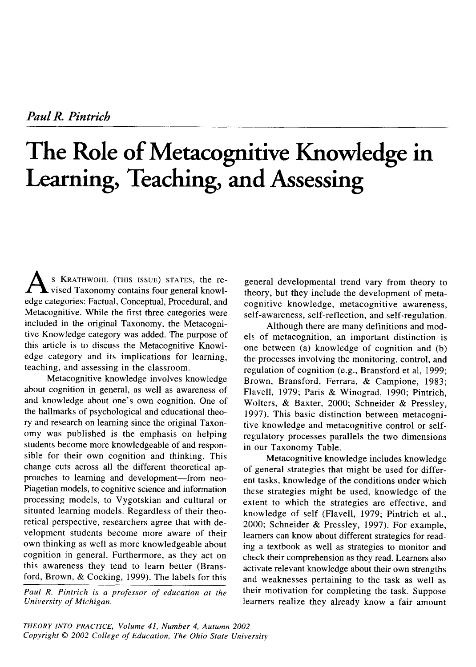# *Paul R. Pintrich*

# The Role of Metacognitive Knowledge in Learning, Teaching, and Assessing

**A** s KRATHWOHL (THIS ISSUE) STATES, the revised Taxonomy contains four general knowledge categories: Factual, Conceptual, Procedural, and Metacognitive. While the first three categories were included in the original Taxonomy, the Metacognitive Knowledge category was added. The purpose of this article is to discuss the Metacognitive Knowledge category and its implications for learning, teaching, and assessing in the classroom.

Metacognitive knowledge involves knowledge about cognition in general, as well as awareness of and knowledge about one's own cognition. One of the hallmarks of psychological and educational theory and research on learning since the original Taxonomy was published is the emphasis on helping students become more knowledgeable of and responsible for their own cognition and thinking. This change cuts across all the different theoretical approaches to learning and development-from neo-Piagetian models, to cognitive science and information processing models, to Vygotskian and cultural or situated learning models. Regardless of their theoretical perspective, researchers agree that with development students become more aware of their own thinking as well as more knowledgeable about cognition in general. Furthermore, as they act on this awareness they tend to learn better (Bransford, Brown, & Cocking, 1999). The labels for this

*Paul R. Pintrich is a professor of education at the University of Michigan.*

general developmental trend vary from theory to theory, but they include the development of metacognitive knowledge, metacognitive awareness, self-awareness, self-reflection, and self-regulation.

Although there are many definitions and models of metacognition, an important distinction is one between (a) knowledge of cognition and (b) the processes involving the monitoring, control, and regulation of cognition (e.g., Bransford et al, 1999; Brown, Bransford, Ferrara, & Campione, 1983; Flavell, 1979; Paris & Winograd, 1990; Pintrich, Wolters, & Baxter, 2000; Schneider & Pressley, 1997). This basic distinction between metacognitive knowledge and metacognitive control or selfregulatory processes parallels the two dimensions in our Taxonomy Table.

Metacognitive knowledge includes knowledge of general strategies that might be used for differeni tasks, knowledge of the conditions under which these strategies might be used, knowledge of the extent to which the strategies are effective, and knowledge of self (Flavell, 1979; Pintrich et al., 2000; Schneider & Pressley, 1997). For example, learners can know about different strategies for reading a textbook as well as strategies to monitor and check their comprehension as they read. Learners also activate relevant knowledge about their own strengths and weaknesses pertaining to the task as well as their motivation for completing the task. Suppose learners realize they already know a fair amount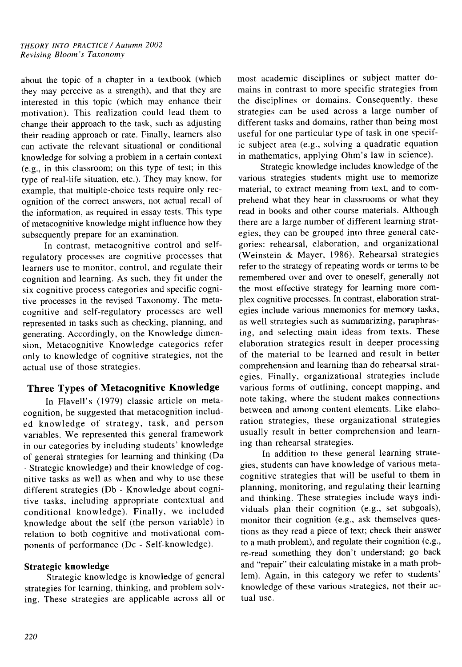about the topic of a chapter in a textbook (which they may perceive as a strength), and that they are interested in this topic (which may enhance their motivation). This realization could lead them to change their approach to the task, such as adjusting their reading approach or rate. Finally, learners also can activate the relevant situational or conditional knowledge for solving a problem in a certain context (e.g., in this classroom; on this type of test; in this type of real-life situation, etc.). They may know, for example, that multiple-choice tests require only recognition of the correct answers, not actual recall of the information, as required in essay tests. This type of metacognitive knowledge might influence how they subsequently prepare for an examination.

In contrast, metacognitive control and selfregulatory processes are cognitive processes that learners use to monitor, control, and regulate their cognition and learning. As such, they fit under the six cognitive process categories and specific cognitive processes in the revised Taxonomy. The metacognitive and self-regulatory processes are well represented in tasks such as checking, planning, and generating. Accordingly, on the Knowledge dimension, Metacognitive Knowledge categories refer only to knowledge of cognitive strategies, not the actual use of those strategies.

# **Three Types of Metacognitive Knowledge**

In Flavell's (1979) classic article on metacognition, he suggested that metacognition included knowledge of strategy, task, and person variables. We represented this general framework in our categories by including students' knowledge of general strategies for learning and thinking (Da - Strategic knowledge) and their knowledge of cognitive tasks as well as when and why to use these different strategies (Db - Knowledge about cognitive tasks, including appropriate contextual and conditional knowledge). Finally, we included knowledge about the self (the person variable) in relation to both cognitive and motivational components of performance (Dc - Self-knowledge).

# **Strategic knowledge**

Strategic knowledge is knowledge of general strategies for learning, thinking, and problem solving. These strategies are applicable across all or most academic disciplines or subject matter domains in contrast to more specific strategies from the disciplines or domains. Consequently, these strategies can be used across a large number of different tasks and domains, rather than being most useful for one particular type of task in one specific subject area (e.g., solving a quadratic equation in mathematics, applying Ohm's law in science).

Strategic knowledge includes knowledge of the various strategies students might use to memorize material, to extract meaning from text, and to comprehend what they hear in classrooms or what they read in books and other course materials. Although there are a large number of different learning strategies, they can be grouped into three general categories: rehearsal, elaboration, and organizational (Weinstein & Mayer, 1986). Rehearsal strategies refer to the strategy of repeating words or terms to be remembered over and over to oneself, generally not the most effective strategy for learning more complex cognitive processes. In contrast, elaboration strategies include various mnemonics for memory tasks, as well strategies such as summarizing, paraphrasing, and selecting main ideas from texts. These elaboration strategies result in deeper processing of the material to be learned and result in better comprehension and learning than do rehearsal strategies. Finally, organizational strategies include various forms of outlining, concept mapping, and note taking, where the student makes connections between and among content elements. Like elaboration strategies, these organizational strategies usually result in better comprehension and learning than rehearsal strategies.

In addition to these general learning strategies, students can have knowledge of various metacognitive strategies that will be useful to them in planning, monitoring, and regulating their learning and thinking. These strategies include ways individuals plan their cognition (e.g., set subgoals), monitor their cognition (e.g., ask themselves questions as they read a piece of text; check their answer to a math problem), and regulate their cognition (e.g., re-read something they don't understand; go back and "repair" their calculating mistake in a math problem). Again, in this category we refer to students' knowledge of these various strategies, not their actual use.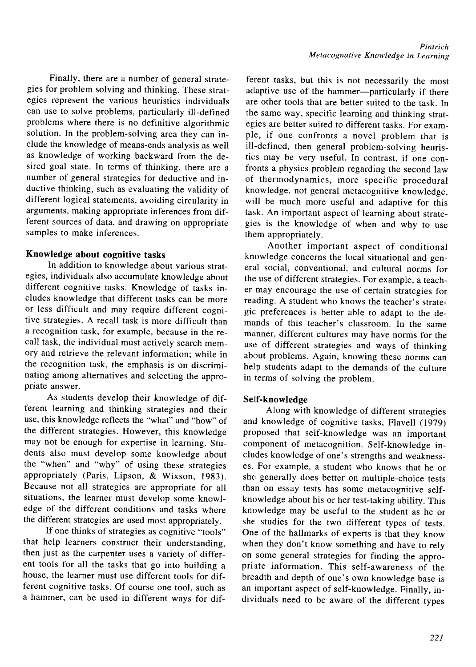Finally, there are a number of general strategies for problem solving and thinking. These strategies represent the various heuristics individuals can use to solve problems, particularly ill-defined problems where there is no definitive algorithmic solution. In the problem-solving area they can include the knowledge of means-ends analysis as well as knowledge of working backward from the desired goal state. In terms of thinking, there are a number of general strategies for deductive and inductive thinking, such as evaluating the validity of different logical statements, avoiding circularity in arguments, making appropriate inferences from different sources of data, and drawing on appropriate samples to make inferences.

#### **Knowledge about cognitive tasks**

In addition to knowledge about various strategies, individuals also accumulate knowledge about different cognitive tasks. Knowledge of tasks includes knowledge that different tasks can be more or less difficult and may require different cognitive strategies. A recall task is more difficult than a recognition task, for example, because in the recall task, the individual must actively search memory and retrieve the relevant information; while in the recognition task, the emphasis is on discriminating among alternatives and selecting the appropriate answer.

As students develop their knowledge of different learning and thinking strategies and their use, this knowledge reflects the "what" and "how" of the different strategies. However, this knowledge may not be enough for expertise in learning. Students also must develop some knowledge about the "when" and "why" of using these strategies appropriately (Paris, Lipson, & Wixson, 1983). Because not all strategies are appropriate for all situations, the learner must develop some knowledge of the different conditions and tasks where the different strategies are used most appropriately.

If one thinks of strategies as cognitive "tools" that help learners construct their understanding, then just as the carpenter uses a variety of different tools for all the tasks that go into building a house, the learner must use different tools for different cognitive tasks. Of course one tool, such as a hammer, can be used in different ways for dif-

ferent tasks, but this is not necessarily the most adaptive use of the hammer-particularly if there are other tools that are better suited to the task. In the same way, specific learning and thinking strategies are better suited to different tasks. For example, if one confronts a novel problem that is ill-defined, then general problem-solving heuristics may be very useful. In contrast, if one confronts a physics problem regarding the second law of thermodynamics, more specific procedural knowledge, not general metacognitive knowledge, will be much more useful and adaptive for this task. An important aspect of learning about strategies is the knowledge of when and why to use them appropriately.

Another important aspect of conditional knowledge concerns the local situational and general social, conventional, and cultural norms for the use of different strategies. For example, a teacher may encourage the use of certain strategies for reading. A student who knows the teacher's strategic preferences is better able to adapt to the demands of this teacher's classroom. In the same manner, different cultures may have norms for the use of different strategies and ways of thinking about problems. Again, knowing these norms can help students adapt to the demands of the culture in terms of solving the problem.

#### **Self-knowledge**

Along with knowledge of different strategies and knowledge of cognitive tasks, Flavell (1979) proposed that self-knowledge was an important component of metacognition. Self-knowledge includes knowledge of one's strengths and weaknesses. For example, a student who knows that he or she generally does better on multiple-choice tests than on essay tests has some metacognitive selfknowledge about his or her test-taking ability. This knowledge may be useful to the student as he or she studies for the two different types of tests. One of the hallmarks of experts is that they know when they don't know something and have to rely on some general strategies for finding the appropriate information. This self-awareness of the breadth and depth of one's own knowledge base is an important aspect of self-knowledge. Finally, individuals need to be aware of the different types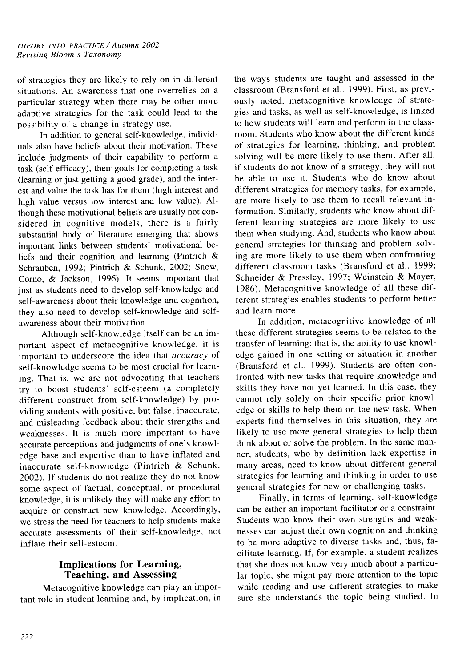of strategies they are likely to rely on in different situations. An awareness that one overrelies on a particular strategy when there may be other more adaptive strategies for the task could lead to the possibility of a change in strategy use.

In addition to general self-knowledge, individuals also have beliefs about their motivation. These include judgments of their capability to perform a task (self-efficacy), their goals for completing a task (learning or just getting a good grade), and the interest and value the task has for them (high interest and high value versus low interest and low value). Although these motivational beliefs are usually not considered in cognitive models, there is a fairly substantial body of literature emerging that shows important links between students' motivational beliefs and their cognition and learning (Pintrich & Schrauben, 1992; Pintrich & Schunk, 2002; Snow, Corno, & Jackson, 1996). It seems important that just as students need to develop self-knowledge and self-awareness about their knowledge and cognition, they also need to develop self-knowledge and selfawareness about their motivation.

Although self-knowledge itself can be an important aspect of metacognitive knowledge, it is important to underscore the idea that *accuracy* of self-knowledge seems to be most crucial for learning. That is, we are not advocating that teachers try to boost students' self-esteem (a completely different construct from self-knowledge) by providing students with positive, but false, inaccurate, and misleading feedback about their strengths and weaknesses. It is much more important to have accurate perceptions and judgments of one's knowledge base and expertise than to have inflated and inaccurate self-knowledge (Pintrich & Schunk, 2002). If students do not realize they do not know some aspect of factual, conceptual, or procedural knowledge, it is unlikely they will make any effort to acquire or construct new knowledge. Accordingly, we stress the need for teachers to help students make accurate assessments of their self-knowledge, not inflate their self-esteem.

# **Implications for Learning, Teaching, and Assessing**

Metacognitive knowledge can play an important role in student learning and, by implication, in the ways students are taught and assessed in the classroom (Bransford et al., 1999). First, as previously noted, metacognitive knowledge of strategies and tasks, as well as self-knowledge, is linked to how students will learn and perform in the classroom. Students who know about the different kinds of strategies for learning, thinking, and problem solving will be more likely to use them. After all, if students do not know of a strategy, they will not be able to use it. Students who do know about different strategies for memory tasks, for example, are more likely to use them to recall relevant information. Similarly, students who know about different learning strategies are more likely to use them when studying. And, students who know about general strategies for thinking and problem solving are more likely to use them when confronting different classroom tasks (Bransford et al., 1999; Schneider & Pressley, 1997; Weinstein & Mayer, 1986). Metacognitive knowledge of all these different strategies enables students to perform better and learn more.

In addition, metacognitive knowledge of all these different strategies seems to be related to the transfer of learning; that is, the ability to use knowledge gained in one setting or situation in another (Bransford et al., 1999). Students are often confronted with new tasks that require knowledge and skills they have not yet learned. In this case, they cannot rely solely on their specific prior knowledge or skills to help them on the new task. When experts find themselves in this situation, they are likely to use more general strategies to help them think about or solve the problem. In the same manner, students, who by definition lack expertise in many areas, need to know about different general strategies for learning and thinking in order to use general strategies for new or challenging tasks.

Finally, in terms of learning, self-knowledge can be either an important facilitator or a constraint. Students who know their own strengths and weaknesses can adjust their own cognition and thinking to be more adaptive to diverse tasks and, thus, facilitate learning. If, for example, a student realizes that she does not know very much about a particular topic, she might pay more attention to the topic while reading and use different strategies to make sure she understands the topic being studied. In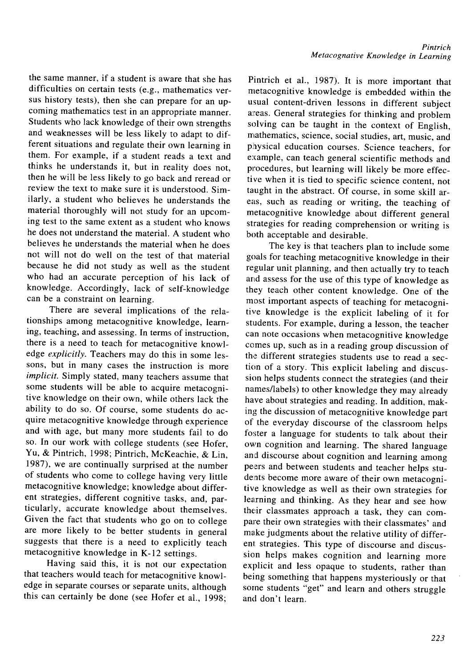the same manner, if a student is aware that she has difficulties on certain tests (e.g., mathematics versus history tests), then she can prepare for an upcoming mathematics test in an appropriate manner. Students who lack knowledge of their own strengths and weaknesses will be less likely to adapt to different situations and regulate their own learning in them. For example, if a student reads a text and thinks he understands it, but in reality does not, then he will be less likely to go back and reread or review the text to make sure it is understood. Similarly, a student who believes he understands the material thoroughly will not study for an upcoming test to the same extent as a student who knows he does not understand the material. A student who believes he understands the material when he does not will not do well on the test of that material because he did not study as well as the student who had an accurate perception of his lack of knowledge. Accordingly, lack of self-knowledge can be a constraint on learning.

There are several implications of the relationships among metacognitive knowledge, learning, teaching, and assessing. In terms of instruction, there is a need to teach for metacognitive knowledge *explicitly.* Teachers may do this in some lessons, but in many cases the instruction is more *implicit.* Simply stated, many teachers assume that some students will be able to acquire metacognitive knowledge on their own, while others lack the ability to do so. Of course, some students do acquire metacognitive knowledge through experience and with age, but many more students fail to do so. In our work with college students (see Hofer, Yu, & Pintrich, 1998; Pintrich, McKeachie, & Lin, 1987), we are continually surprised at the number of students who come to college having very little metacognitive knowledge; knowledge about different strategies, different cognitive tasks, and, particularly, accurate knowledge about themselves. Given the fact that students who go on to college are more likely to be better students in general suggests that there is a need to explicitly teach metacognitive knowledge in K-12 settings.

Having said this, it is not our expectation that teachers would teach for metacognitive knowledge in separate courses or separate units, although this can certainly be done (see Hofer et al., 1998;

Pintrich et al., 1987). It is more important that metacognitive knowledge is embedded within the usual content-driven lessons in different subject areas. General strategies for thinking and problem solving can be taught in the context of English, mathematics, science, social studies, art, music, and physical education courses. Science teachers, for example, can teach general scientific methods and procedures, but learning will likely be more effective when it is tied to specific science content, not taught in the abstract. Of course, in some skill areas, such as reading or writing, the teaching of metacognitive knowledge about different general strategies for reading comprehension or writing is both acceptable and desirable.

The key is that teachers plan to include some goals for teaching metacognitive knowledge in their regular unit planning, and then actually try to teach and assess for the use of this type of knowledge as they teach other content knowledge. One of the most important aspects of teaching for metacognitive knowledge is the explicit labeling of it for students. For example, during a lesson, the teacher can note occasions when metacognitive knowledge comes up, such as in a reading group discussion of the different strategies students use to read a section of a story. This explicit labeling and discussion helps students connect the strategies (and their names/labels) to other knowledge they may already have about strategies and reading. In addition, making the discussion of metacognitive knowledge part of the everyday discourse of the classroom helps foster a language for students to talk about their own cognition and learning. The shared language and discourse about cognition and learning among peers and between students and teacher helps students become more aware of their own metacognitive knowledge as well as their own strategies for learning and thinking. As they hear and see how their classmates approach a task, they can compare their own strategies with their classmates' and make judgments about the relative utility of different strategies. This type of discourse and discussion helps makes cognition and learning more explicit and less opaque to students, rather than being something that happens mysteriously or that some students "get" and learn and others struggle and don't learn.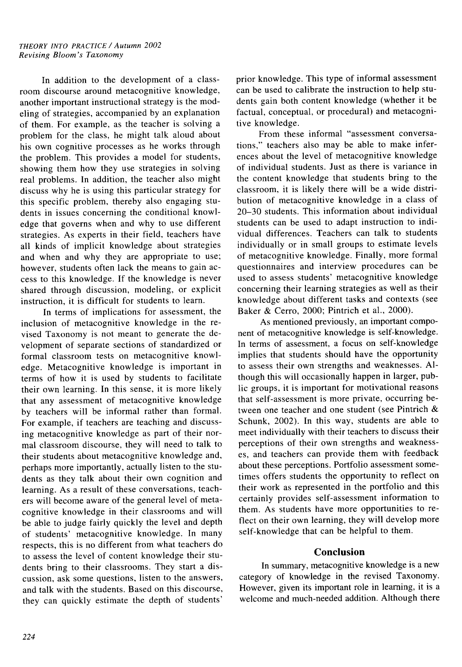In addition to the development of a classroom discourse around metacognitive knowledge, another important instructional strategy is the modeling of strategies, accompanied by an explanation of them. For example, as the teacher is solving a problem for the class, he might talk aloud about his own cognitive processes as he works through the problem. This provides a model for students, showing them how they use strategies in solving real problems. In addition, the teacher also might discuss why he is using this particular strategy for this specific problem, thereby also engaging students in issues concerning the conditional knowledge that governs when and why to use different strategies. As experts in their field, teachers have all kinds of implicit knowledge about strategies and when and why they are appropriate to use; however, students often lack the means to gain access to this knowledge. If the knowledge is never shared through discussion, modeling, or explicit instruction, it is difficult for students to learn.

In terms of implications for assessment, the inclusion of metacognitive knowledge in the revised Taxonomy is not meant to generate the development of separate sections of standardized or formal classroom tests on metacognitive knowledge. Metacognitive knowledge is important in terms of how it is used by students to facilitate their own learning. In this sense, it is more likely that any assessment of metacognitive knowledge by teachers will be informal rather than formal. For example, if teachers are teaching and discussing metacognitive knowledge as part of their normal classroom discourse, they will need to talk to their students about metacognitive knowledge and, perhaps more importantly, actually listen to the students as they talk about their own cognition and learning. As a result of these conversations, teachers will become aware of the general level of metacognitive knowledge in their classrooms and will be able to judge fairly quickly the level and depth of students' metacognitive knowledge. In many respects, this is no different from what teachers do to assess the level of content knowledge their students bring to their classrooms. They start a discussion, ask some questions, listen to the answers, and talk with the students. Based on this discourse, they can quickly estimate the depth of students'

prior knowledge. This type of informal assessment can be used to calibrate the instruction to help students gain both content knowledge (whether it be factual, conceptual, or procedural) and metacognitive knowledge.

From these informal "assessment conversations," teachers also may be able to make inferences about the level of metacognitive knowledge of individual students. Just as there is variance in the content knowledge that students bring to the classroom, it is likely there will be a wide distribution of metacognitive knowledge in a class of 20-30 students. This information about individual students can be used to adapt instruction to individual differences. Teachers can talk to students individually or in small groups to estimate levels of metacognitive knowledge. Finally, more formal questionnaires and interview procedures can be used to assess students' metacognitive knowledge concerning their learning strategies as well as their knowledge about different tasks and contexts (see Baker & Cerro, 2000; Pintrich et al., 2000).

As mentioned previously, an important component of metacognitive knowledge is self-knowledge. In terms of assessment, a focus on self-knowledge implies that students should have the opportunity to assess their own strengths and weaknesses. Although this will occasionally happen in larger, public groups, it is important for motivational reasons that self-assessment is more private, occurring between one teacher and one student (see Pintrich & Schunk, 2002). In this way, students are able to meet individually with their teachers to discuss their perceptions of their own strengths and weaknesses, and teachers can provide them with feedback about these perceptions. Portfolio assessment sometimes offers students the opportunity to reflect on their work as represented in the portfolio and this certainly provides self-assessment information to them. As students have more opportunities to reflect on their own learning, they will develop more self-knowledge that can be helpful to them.

# **Conclusion**

In summary, metacognitive knowledge is a new category of knowledge in the revised Taxonomy. However, given its important role in learning, it is a welcome and much-needed addition. Although there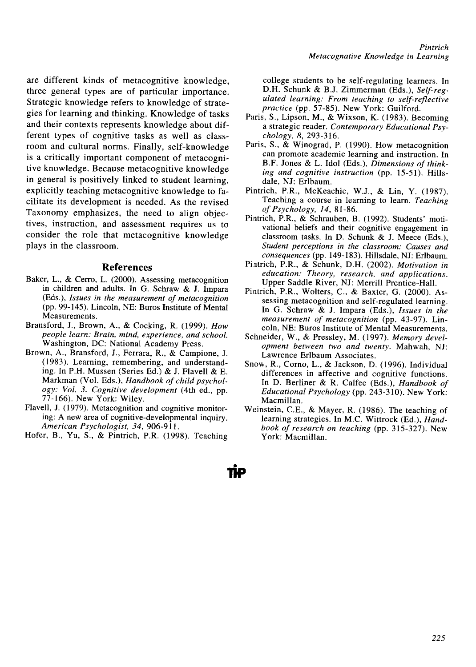are different kinds of metacognitive knowledge, three general types are of particular importance. Strategic knowledge refers to knowledge of strategies for learning and thinking. Knowledge of tasks and their contexts represents knowledge about different types of cognitive tasks as well as classroom and cultural norms. Finally, self-knowledge is a critically important component of metacognitive knowledge. Because metacognitive knowledge in general is positively linked to student learning, explicitly teaching metacognitive knowledge to facilitate its development is needed. As the revised Taxonomy emphasizes, the need to align objectives, instruction, and assessment requires us to consider the role that metacognitive knowledge plays in the classroom.

#### **References**

- Baker, L., & Cerro, L. (2000). Assessing metacognition in children and adults. In G. Schraw & J. Impara (Eds.), *Issues in the measurement of metacognition* (pp. 99-145). Lincoln, NE: Buros Institute of Mental Measurements.
- Bransford, **J.,** Brown, A., & Cocking, R. (1999). *How people learn: Brain, mind, experience, and school.* Washington, DC: National Academy Press.
- Brown, A., Bransford, J., Ferrara, R., & Campione, J. (1983). Learning, remembering, and understanding. In P.H. Mussen (Series Ed.) & J. Flavell & E. Markman (Vol. Eds.), *Handbook of child psychology: Vol. 3. Cognitive development* (4th ed., pp. 77-166). New York: Wiley.
- Flavell, J. (1979). Metacognition and cognitive monitoring: A new area of cognitive-developmental inquiry. *American Psychologist, 34,* 906-911.

Hofer, B., Yu, S., & Pintrich, P.R. (1998). Teaching

college students to be self-regulating learners. In D.H. Schunk & B.J. Zimmerman (Eds.), *Self-regulated learning: From teaching to self-reflective practice* (pp. 57-85). New York: Guilford.

- Paris, S., Lipson, M., & Wixson, K. (1983). Becoming a strategic reader. *Contemporary Educational Psychology, 8,* 293-316.
- Paris, S., & Winograd, P. (1990). How metacognition can promote academic learning and instruction. In B.F. Jones & L. Idol (Eds.), *Dimensions of thinking and cognitive instruction* (pp. 15-51). Hillsdale, NJ: Erlbaum.
- Pintrich, P.R., McKeachie, W.J., & Lin, Y. (1987). Teaching a course in learning to learn. *Teaching of Psychology, 14,* 81-86.
- Pintrich, P.R., & Schrauben, B. (1992). Students' motivational beliefs and their cognitive engagement in classroom tasks. In D. Schunk & J. Meece (Eds.), *Student perceptions in the classroom: Causes and consequences* (pp. 149-183). Hillsdale, NJ: Erlbaum.
- Pintrich, P.R., & Schunk, D.H. (2002). *Motivation in education: Theory, research, and applications.* Upper Saddle River, NJ: Merrill Prentice-Hall.
- Pintrich, P.R., Wolters, C., & Baxter, G. (2000). Assessing metacognition and self-regulated learning. In G. Schraw & J. Impara (Eds.), *Issues in the measurement of metacognition* (pp. 43-97). Lincoln, NE: Buros Institute of Mental Measurements.
- Schneider, W., & Pressley, M. (1997). *Memory development between two and twenty.* Mahwah, NJ: Lawrence Erlbaum Associates.
- Snow, R., Corno, L., & Jackson, D. (1996). Individual differences in affective and cognitive functions. In D. Berliner & R. Calfee (Eds.), *Handbook of Educational Psychology* (pp. 243-3 10). New York: Macmillan.
- Weinstein, C.E., & Mayer, R. (1986). The teaching of learning strategies. In M.C. Wittrock (Ed.), *Handbook of research on teaching* (pp. 315-327). New York: Macmillan.

ip